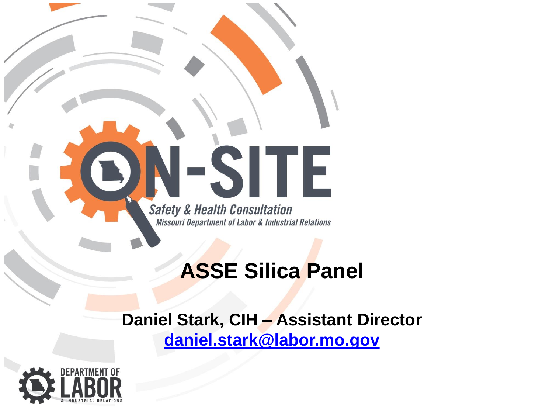

#### **ASSE Silica Panel**

#### **Daniel Stark, CIH – Assistant Director [daniel.stark@labor.mo.gov](mailto:daniel.stark@labor.mo.gov)**

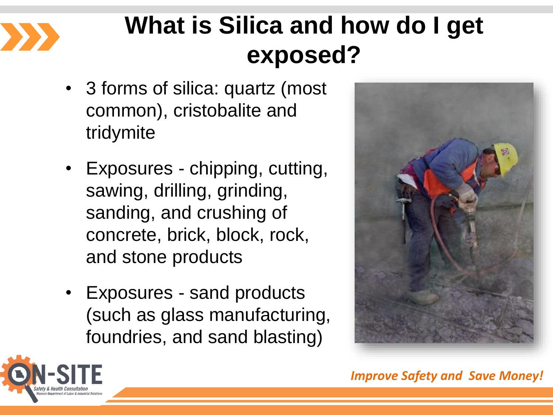

#### **What is Silica and how do I get exposed?**

- 3 forms of silica: quartz (most common), cristobalite and tridymite
- Exposures chipping, cutting, sawing, drilling, grinding, sanding, and crushing of concrete, brick, block, rock, and stone products
- Exposures sand products (such as glass manufacturing, foundries, and sand blasting)



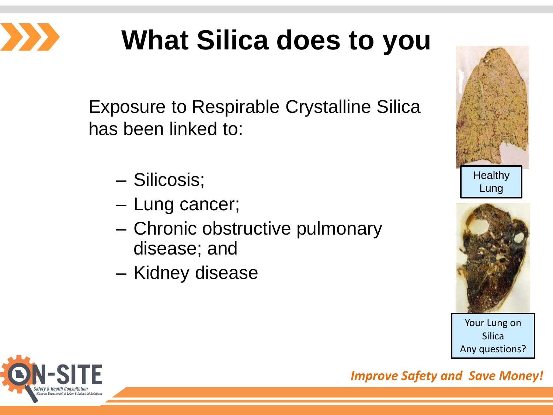

# **What Silica does to you**

Exposure to Respirable Crystalline Silica has been linked to:

- Silicosis;
- Lung cancer;
- Chronic obstructive pulmonary disease; and
- Kidney disease





Your Lung on Silica Any questions?

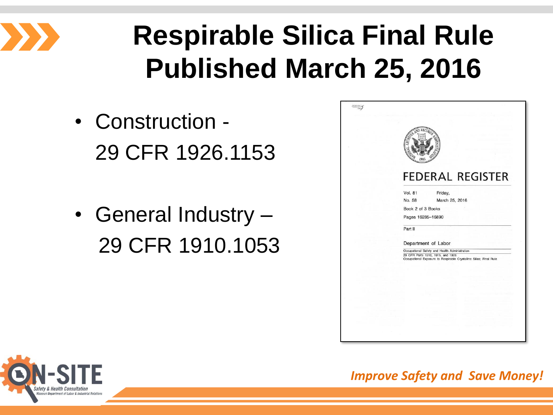

# **Respirable Silica Final Rule Published March 25, 2016**

- Construction 29 CFR 1926.1153
- General Industry 29 CFR 1910.1053

| <b>FEDERAL REGISTER</b>                                                                                                                                  |
|----------------------------------------------------------------------------------------------------------------------------------------------------------|
| <b>Vol. 81</b><br>Friday,                                                                                                                                |
| No. 58<br>March 25, 2016                                                                                                                                 |
| Book 2 of 3 Books                                                                                                                                        |
| Pages 16285-16890                                                                                                                                        |
| Part II                                                                                                                                                  |
|                                                                                                                                                          |
| Department of Labor                                                                                                                                      |
| Occupational Safety and Health Administration<br>29 CFR Parts 1910, 1915, and 1926<br>Occupational Exposure to Respirable Crystalline Silica; Final Rule |
|                                                                                                                                                          |
|                                                                                                                                                          |
|                                                                                                                                                          |
|                                                                                                                                                          |
|                                                                                                                                                          |
|                                                                                                                                                          |
|                                                                                                                                                          |
|                                                                                                                                                          |
|                                                                                                                                                          |

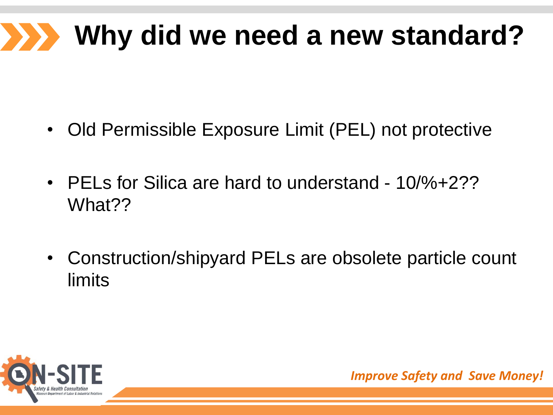#### **Why did we need a new standard?**  $\sum$

- Old Permissible Exposure Limit (PEL) not protective
- PELs for Silica are hard to understand 10/%+2?? What??
- Construction/shipyard PELs are obsolete particle count limits

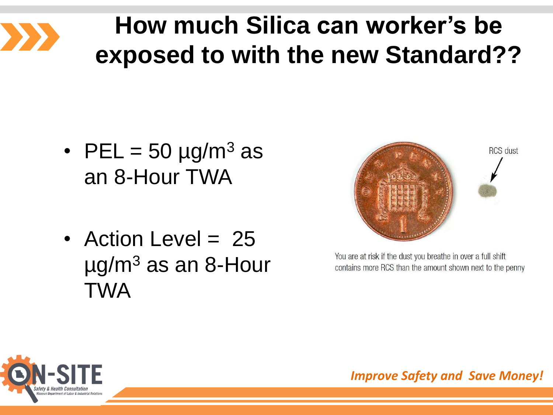

#### **How much Silica can worker's be exposed to with the new Standard??**

- PEL =  $50 \mu g/m^3$  as an 8-Hour TWA
- Action Level = 25  $\mu$ g/m<sup>3</sup> as an 8-Hour TWA



You are at risk if the dust you breathe in over a full shift contains more RCS than the amount shown next to the penny

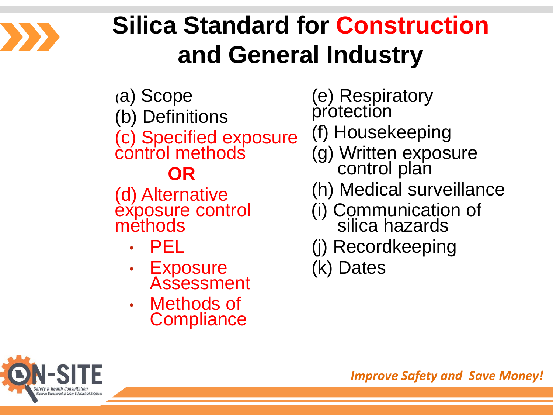

#### **Silica Standard for Construction and General Industry**

- (a) Scope
- (b) Definitions

(c) Specified exposure control methods

#### **OR**

(d) Alternative exposure control methods

- PEL
- Exposure **Assessment**
- Methods of **Compliance**

(e) Respiratory protection

- (f) Housekeeping
- (g) Written exposure control plan
- (h) Medical surveillance
- (i) Communication of silica hazards
- (j) Recordkeeping

(k) Dates

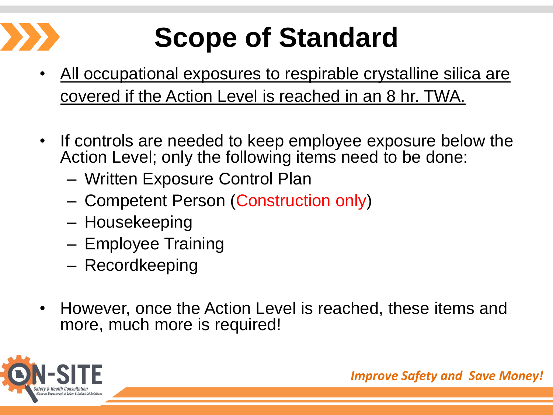# **Scope of Standard**

- All occupational exposures to respirable crystalline silica are covered if the Action Level is reached in an 8 hr. TWA.
- If controls are needed to keep employee exposure below the Action Level; only the following items need to be done:
	- Written Exposure Control Plan
	- Competent Person (Construction only)
	- Housekeeping
	- Employee Training
	- Recordkeeping
- However, once the Action Level is reached, these items and more, much more is required!

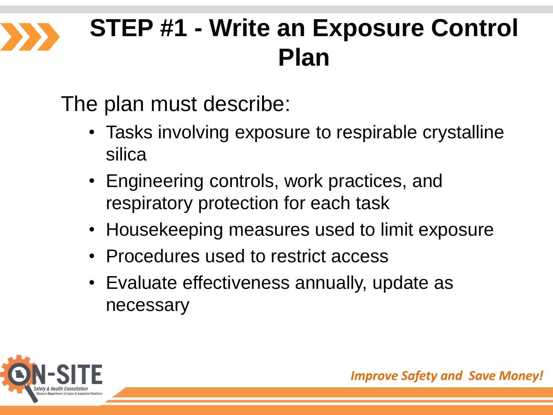#### **STEP #1 - Write an Exposure Control Plan**

The plan must describe:

- Tasks involving exposure to respirable crystalline silica
- Engineering controls, work practices, and respiratory protection for each task
- Housekeeping measures used to limit exposure
- Procedures used to restrict access
- Evaluate effectiveness annually, update as necessary

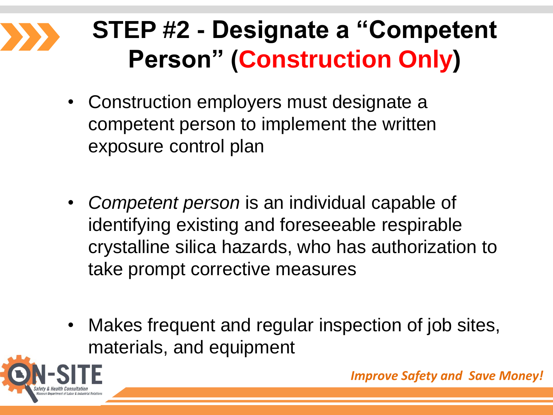#### **STEP #2 - Designate a "Competent Person" (Construction Only)**

- Construction employers must designate a competent person to implement the written exposure control plan
- *Competent person* is an individual capable of identifying existing and foreseeable respirable crystalline silica hazards, who has authorization to take prompt corrective measures
- Makes frequent and regular inspection of job sites, materials, and equipment

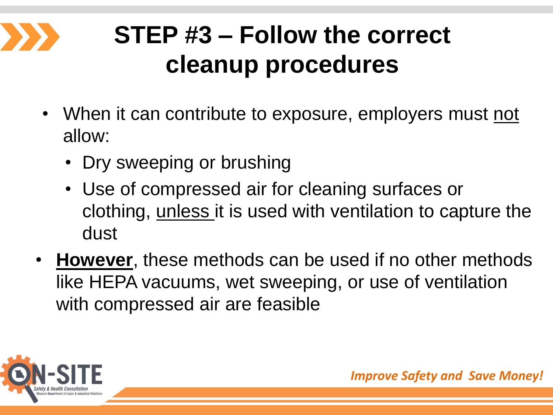

## **STEP #3 – Follow the correct cleanup procedures**

- When it can contribute to exposure, employers must not allow:
	- Dry sweeping or brushing
	- Use of compressed air for cleaning surfaces or clothing, unless it is used with ventilation to capture the dust
- **However**, these methods can be used if no other methods like HEPA vacuums, wet sweeping, or use of ventilation with compressed air are feasible

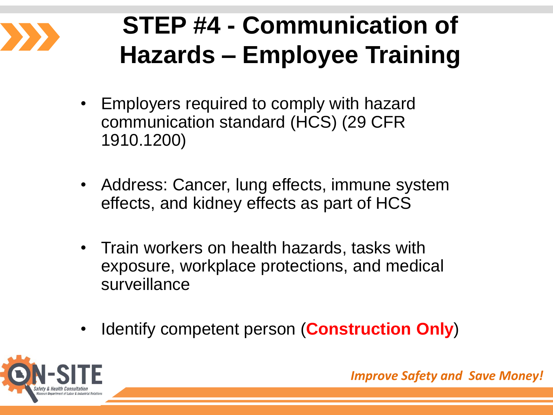

### **STEP #4 - Communication of Hazards – Employee Training**

- Employers required to comply with hazard communication standard (HCS) (29 CFR 1910.1200)
- Address: Cancer, lung effects, immune system effects, and kidney effects as part of HCS
- Train workers on health hazards, tasks with exposure, workplace protections, and medical surveillance
- Identify competent person (**Construction Only**)

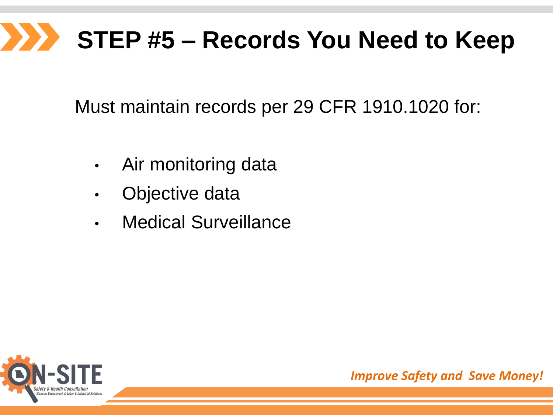# **STEP #5 – Records You Need to Keep**

Must maintain records per 29 CFR 1910.1020 for:

- Air monitoring data
- Objective data
- Medical Surveillance

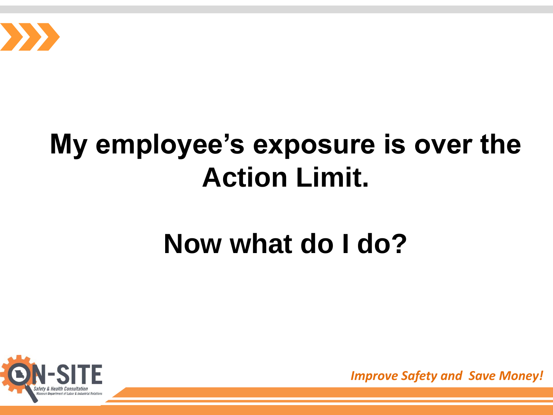

## **My employee's exposure is over the Action Limit.**

## **Now what do I do?**

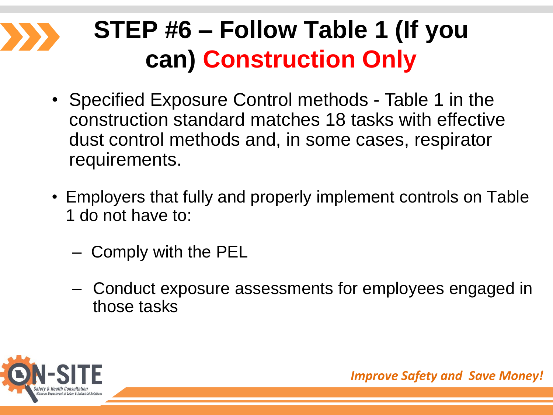## **STEP #6 – Follow Table 1 (If you can) Construction Only**

- Specified Exposure Control methods Table 1 in the construction standard matches 18 tasks with effective dust control methods and, in some cases, respirator requirements.
- Employers that fully and properly implement controls on Table 1 do not have to:
	- Comply with the PEL
	- Conduct exposure assessments for employees engaged in those tasks

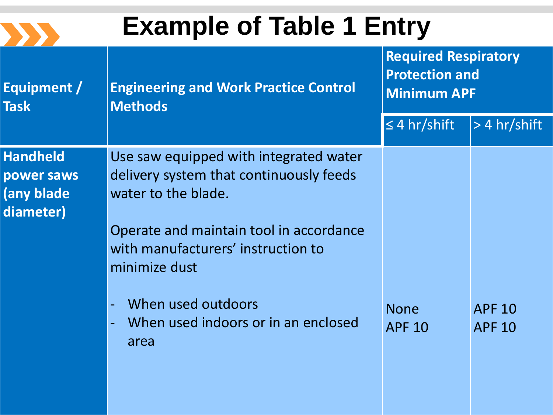

## **Example of Table 1 Entry**

| Equipment /<br><b>Task</b>                               | <b>Engineering and Work Practice Control</b><br><b>Methods</b>                                                                                                                                                                                                                  | <b>Required Respiratory</b><br><b>Protection and</b><br><b>Minimum APF</b> |                                |
|----------------------------------------------------------|---------------------------------------------------------------------------------------------------------------------------------------------------------------------------------------------------------------------------------------------------------------------------------|----------------------------------------------------------------------------|--------------------------------|
|                                                          |                                                                                                                                                                                                                                                                                 | $\leq 4$ hr/shift                                                          | $> 4$ hr/shift                 |
| <b>Handheld</b><br>power saws<br>(any blade<br>diameter) | Use saw equipped with integrated water<br>delivery system that continuously feeds<br>water to the blade.<br>Operate and maintain tool in accordance<br>with manufacturers' instruction to<br>minimize dust<br>When used outdoors<br>When used indoors or in an enclosed<br>area | <b>None</b><br><b>APF 10</b>                                               | <b>APF 10</b><br><b>APF 10</b> |
|                                                          |                                                                                                                                                                                                                                                                                 |                                                                            |                                |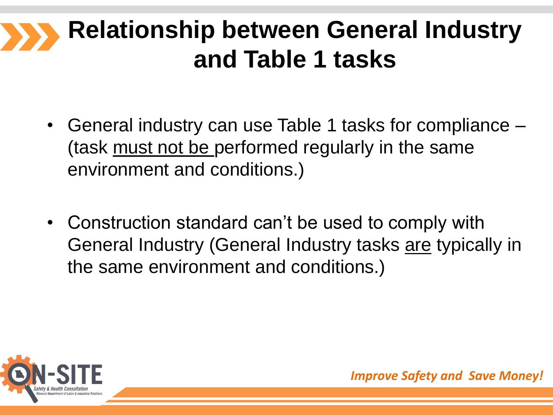#### **Relationship between General Industry and Table 1 tasks**

- General industry can use Table 1 tasks for compliance (task must not be performed regularly in the same environment and conditions.)
- Construction standard can't be used to comply with General Industry (General Industry tasks are typically in the same environment and conditions.)

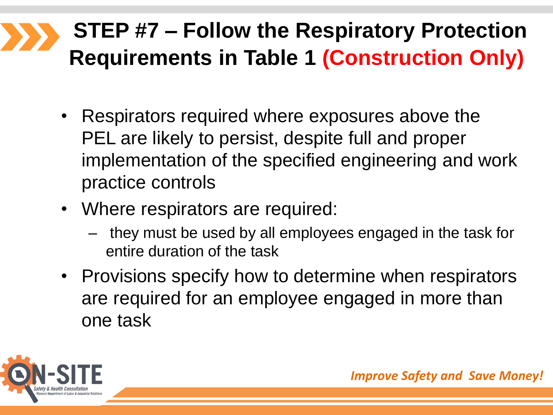#### **STEP #7 – Follow the Respiratory Protection Requirements in Table 1 (Construction Only)**

- Respirators required where exposures above the PEL are likely to persist, despite full and proper implementation of the specified engineering and work practice controls
- Where respirators are required:
	- they must be used by all employees engaged in the task for entire duration of the task
- Provisions specify how to determine when respirators are required for an employee engaged in more than one task

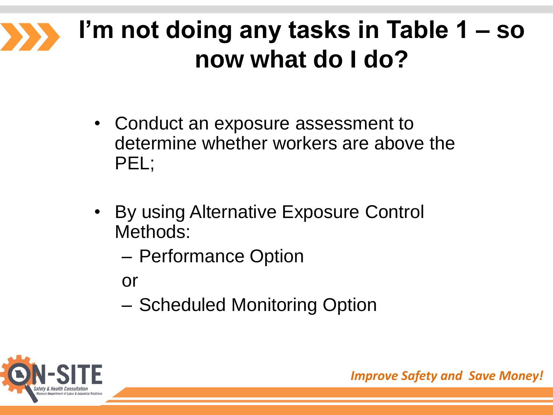#### **I'm not doing any tasks in Table 1 – so now what do I do?**

- Conduct an exposure assessment to determine whether workers are above the PEL;
- By using Alternative Exposure Control Methods:
	- Performance Option
	- or
	- Scheduled Monitoring Option

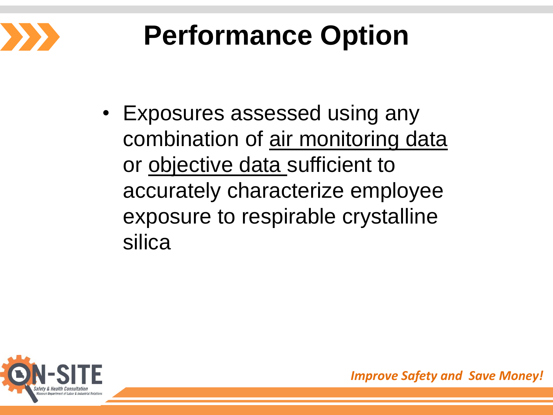

# **Performance Option**

• Exposures assessed using any combination of air monitoring data or objective data sufficient to accurately characterize employee exposure to respirable crystalline silica

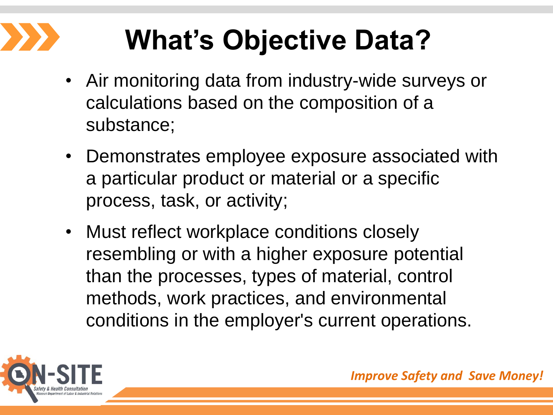# **What's Objective Data?**

- Air monitoring data from industry-wide surveys or calculations based on the composition of a substance;
- Demonstrates employee exposure associated with a particular product or material or a specific process, task, or activity;
- Must reflect workplace conditions closely resembling or with a higher exposure potential than the processes, types of material, control methods, work practices, and environmental conditions in the employer's current operations.

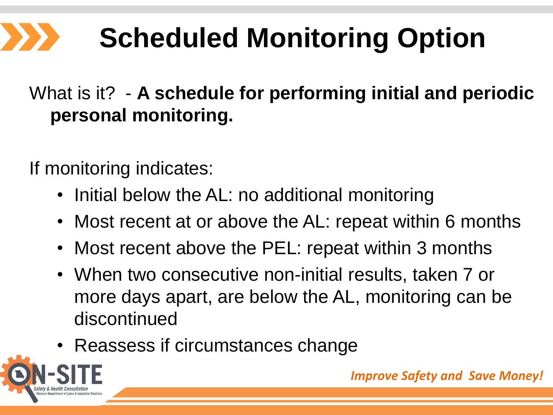# **Scheduled Monitoring Option**

#### What is it? - **A schedule for performing initial and periodic personal monitoring.**

If monitoring indicates:

- Initial below the AL: no additional monitoring
- Most recent at or above the AL: repeat within 6 months
- Most recent above the PEL: repeat within 3 months
- When two consecutive non-initial results, taken 7 or more days apart, are below the AL, monitoring can be discontinued
- Reassess if circumstances change

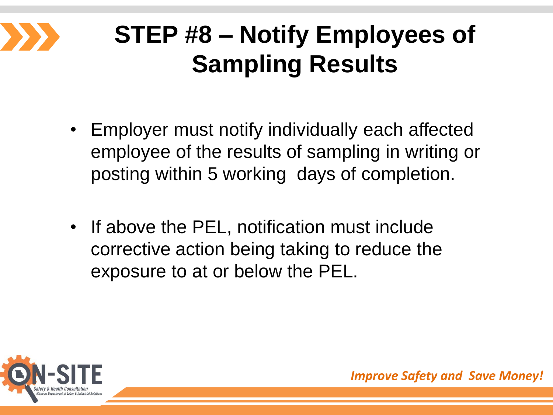

## **STEP #8 – Notify Employees of Sampling Results**

- Employer must notify individually each affected employee of the results of sampling in writing or posting within 5 working days of completion.
- If above the PEL, notification must include corrective action being taking to reduce the exposure to at or below the PEL.

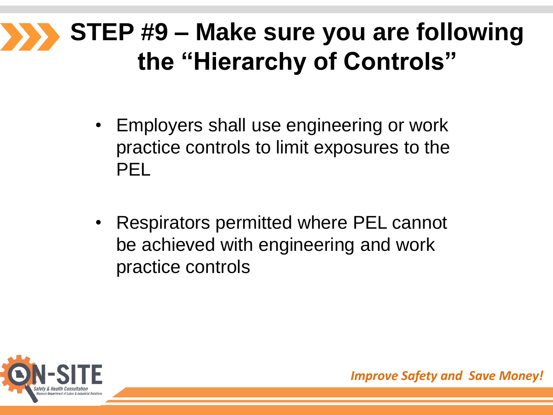#### **STEP #9 – Make sure you are following the "Hierarchy of Controls"**

- Employers shall use engineering or work practice controls to limit exposures to the PEL
- Respirators permitted where PEL cannot be achieved with engineering and work practice controls

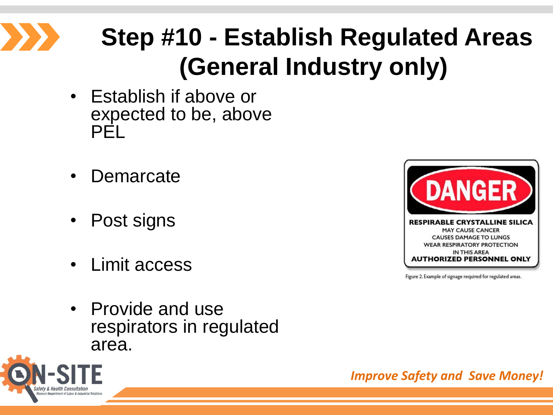

## **Step #10 - Establish Regulated Areas (General Industry only)**

- Establish if above or expected to be, above PEL
- Demarcate
- Post signs
- Limit access
- Provide and use respirators in regulated area.



Figure 2. Example of signage required for regulated areas.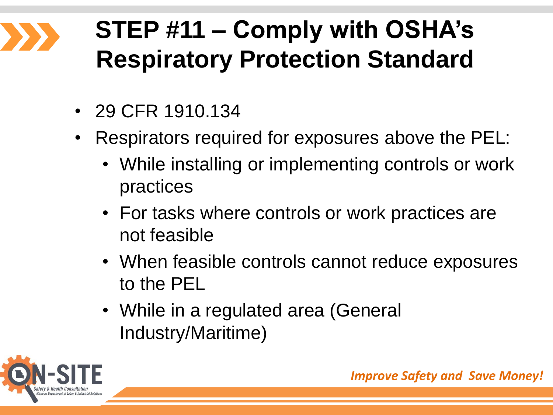## **STEP #11 – Comply with OSHA's Respiratory Protection Standard**

- 29 CFR 1910.134
- Respirators required for exposures above the PEL:
	- While installing or implementing controls or work practices
	- For tasks where controls or work practices are not feasible
	- When feasible controls cannot reduce exposures to the PEL
	- While in a regulated area (General Industry/Maritime)

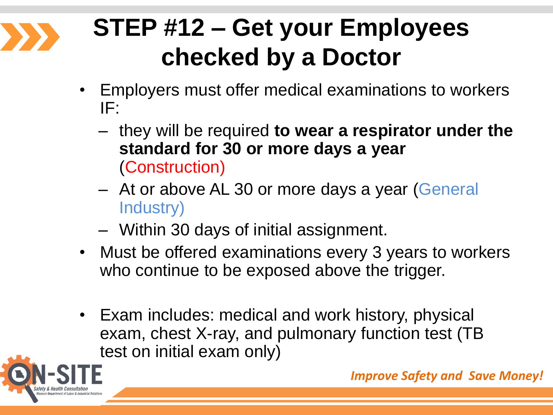

## **STEP #12 – Get your Employees checked by a Doctor**

- Employers must offer medical examinations to workers IF:
	- they will be required **to wear a respirator under the standard for 30 or more days a year** (Construction)
	- At or above AL 30 or more days a year (General Industry)
	- Within 30 days of initial assignment.
- Must be offered examinations every 3 years to workers who continue to be exposed above the trigger.
- Exam includes: medical and work history, physical exam, chest X-ray, and pulmonary function test (TB test on initial exam only)

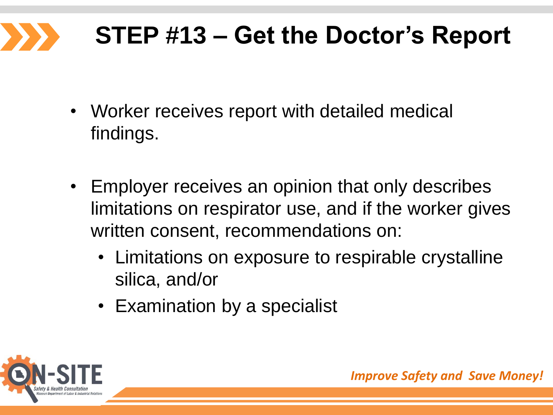# **STEP #13 – Get the Doctor's Report**

- Worker receives report with detailed medical findings.
- Employer receives an opinion that only describes limitations on respirator use, and if the worker gives written consent, recommendations on:
	- Limitations on exposure to respirable crystalline silica, and/or
	- Examination by a specialist